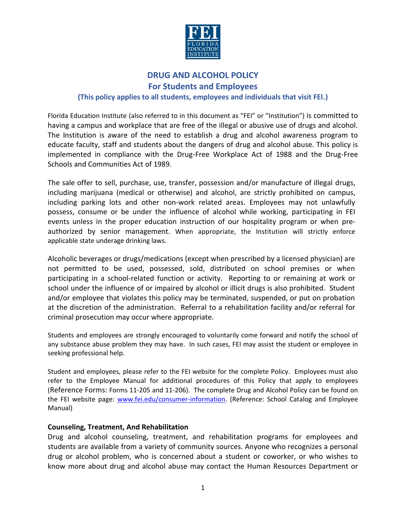

# **DRUG AND ALCOHOL POLICY For Students and Employees (This policy applies to all students, employees and individuals that visit FEI.)**

Florida Education Institute (also referred to in this document as "FEI" or "Institution") is committed to having a campus and workplace that are free of the illegal or abusive use of drugs and alcohol. The Institution is aware of the need to establish a drug and alcohol awareness program to educate faculty, staff and students about the dangers of drug and alcohol abuse. This policy is implemented in compliance with the Drug-Free Workplace Act of 1988 and the Drug-Free Schools and Communities Act of 1989.

The sale offer to sell, purchase, use, transfer, possession and/or manufacture of illegal drugs, including marijuana (medical or otherwise) and alcohol, are strictly prohibited on campus, including parking lots and other non-work related areas. Employees may not unlawfully possess, consume or be under the influence of alcohol while working, participating in FEI events unless in the proper education instruction of our hospitality program or when preauthorized by senior management. When appropriate, the Institution will strictly enforce applicable state underage drinking laws.

Alcoholic beverages or drugs/medications (except when prescribed by a licensed physician) are not permitted to be used, possessed, sold, distributed on school premises or when participating in a school-related function or activity. Reporting to or remaining at work or school under the influence of or impaired by alcohol or illicit drugs is also prohibited. Student and/or employee that violates this policy may be terminated, suspended, or put on probation at the discretion of the administration. Referral to a rehabilitation facility and/or referral for criminal prosecution may occur where appropriate.

Students and employees are strongly encouraged to voluntarily come forward and notify the school of any substance abuse problem they may have. In such cases, FEI may assist the student or employee in seeking professional help.

Student and employees, please refer to the FEI website for the complete Policy. Employees must also refer to the Employee Manual for additional procedures of this Policy that apply to employees (Reference Forms: Forms 11-205 and 11-206). The complete Drug and Alcohol Policy can be found on the FEI website page: [www.fei.edu/consumer-information.](http://www.fei.edu/consumer-information) (Reference: School Catalog and Employee Manual)

#### **Counseling, Treatment, And Rehabilitation**

Drug and alcohol counseling, treatment, and rehabilitation programs for employees and students are available from a variety of community sources. Anyone who recognizes a personal drug or alcohol problem, who is concerned about a student or coworker, or who wishes to know more about drug and alcohol abuse may contact the Human Resources Department or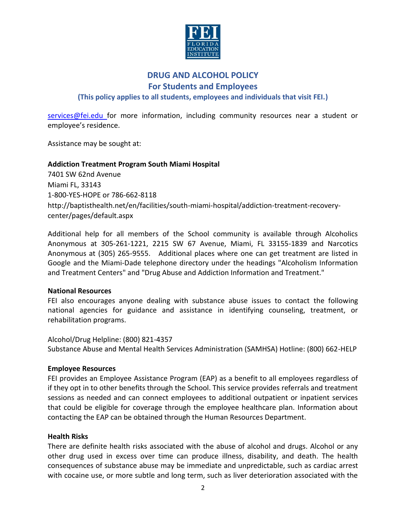

# **DRUG AND ALCOHOL POLICY**

**For Students and Employees**

**(This policy applies to all students, employees and individuals that visit FEI.)**

[services@fei.edu f](mailto:services@fei.edu)or more information, including community resources near a student or employee's residence.

Assistance may be sought at:

#### **Addiction Treatment Program South Miami Hospital**

7401 SW 62nd Avenue Miami FL, 33143 1-800-YES-HOPE or 786-662-8118 [http://baptisthealth.net/en/facilities/south-miami-hospital/addiction-treatment-recovery](http://baptisthealth.net/en/facilities/south-miami-hospital/addiction-treatment-recovery-center/pages/default.aspx)[center/pages/default.aspx](http://baptisthealth.net/en/facilities/south-miami-hospital/addiction-treatment-recovery-center/pages/default.aspx)

Additional help for all members of the School community is available through Alcoholics Anonymous at 305-261-1221, 2215 SW 67 Avenue, Miami, FL 33155-1839 and Narcotics Anonymous at (305) 265-9555. Additional places where one can get treatment are listed in Google and the Miami-Dade telephone directory under the headings "Alcoholism Information and Treatment Centers" and "Drug Abuse and Addiction Information and Treatment."

#### **National Resources**

FEI also encourages anyone dealing with substance abuse issues to contact the following national agencies for guidance and assistance in identifying counseling, treatment, or rehabilitation programs.

Alcohol/Drug Helpline: (800) 821-4357 Substance Abuse and Mental Health Services Administration (SAMHSA) Hotline: (800) 662-HELP

#### **Employee Resources**

FEI provides an Employee Assistance Program (EAP) as a benefit to all employees regardless of if they opt in to other benefits through the School. This service provides referrals and treatment sessions as needed and can connect employees to additional outpatient or inpatient services that could be eligible for coverage through the employee healthcare plan. Information about contacting the EAP can be obtained through the Human Resources Department.

#### **Health Risks**

There are definite health risks associated with the abuse of alcohol and drugs. Alcohol or any other drug used in excess over time can produce illness, disability, and death. The health consequences of substance abuse may be immediate and unpredictable, such as cardiac arrest with cocaine use, or more subtle and long term, such as liver deterioration associated with the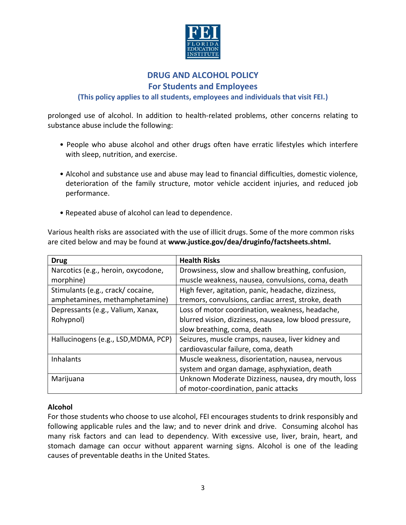

# **DRUG AND ALCOHOL POLICY**

## **For Students and Employees**

### **(This policy applies to all students, employees and individuals that visit FEI.)**

prolonged use of alcohol. In addition to health-related problems, other concerns relating to substance abuse include the following:

- People who abuse alcohol and other drugs often have erratic lifestyles which interfere with sleep, nutrition, and exercise.
- Alcohol and substance use and abuse may lead to financial difficulties, domestic violence, deterioration of the family structure, motor vehicle accident injuries, and reduced job performance.
- Repeated abuse of alcohol can lead to dependence.

Various health risks are associated with the use of illicit drugs. Some of the more common risks are cited below and may be found at **[www.justice.gov/dea/druginfo/factsheets.shtml.](http://www.justice.gov/dea/druginfo/factsheets.shtml)**

| <b>Drug</b>                          | <b>Health Risks</b>                                    |  |
|--------------------------------------|--------------------------------------------------------|--|
| Narcotics (e.g., heroin, oxycodone,  | Drowsiness, slow and shallow breathing, confusion,     |  |
| morphine)                            | muscle weakness, nausea, convulsions, coma, death      |  |
| Stimulants (e.g., crack/ cocaine,    | High fever, agitation, panic, headache, dizziness,     |  |
| amphetamines, methamphetamine)       | tremors, convulsions, cardiac arrest, stroke, death    |  |
| Depressants (e.g., Valium, Xanax,    | Loss of motor coordination, weakness, headache,        |  |
| Rohypnol)                            | blurred vision, dizziness, nausea, low blood pressure, |  |
|                                      | slow breathing, coma, death                            |  |
| Hallucinogens (e.g., LSD, MDMA, PCP) | Seizures, muscle cramps, nausea, liver kidney and      |  |
|                                      | cardiovascular failure, coma, death                    |  |
| <b>Inhalants</b>                     | Muscle weakness, disorientation, nausea, nervous       |  |
|                                      | system and organ damage, asphyxiation, death           |  |
| Marijuana                            | Unknown Moderate Dizziness, nausea, dry mouth, loss    |  |
|                                      | of motor-coordination, panic attacks                   |  |

#### **Alcohol**

For those students who choose to use alcohol, FEI encourages students to drink responsibly and following applicable rules and the law; and to never drink and drive. Consuming alcohol has many risk factors and can lead to dependency. With excessive use, liver, brain, heart, and stomach damage can occur without apparent warning signs. Alcohol is one of the leading causes of preventable deaths in the United States.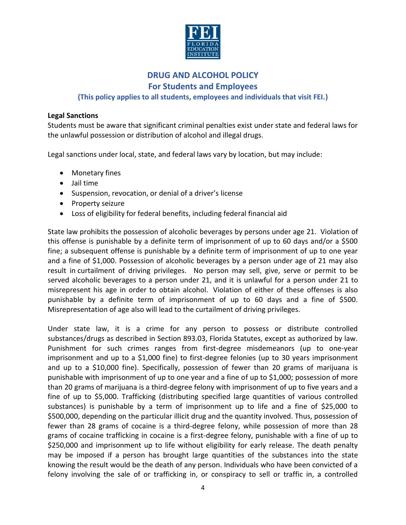

# **DRUG AND ALCOHOL POLICY For Students and Employees**

## **(This policy applies to all students, employees and individuals that visit FEI.)**

#### **Legal Sanctions**

Students must be aware that significant criminal penalties exist under state and federal laws for the unlawful possession or distribution of alcohol and illegal drugs.

Legal sanctions under local, state, and federal laws vary by location, but may include:

- Monetary fines
- Jail time
- Suspension, revocation, or denial of a driver's license
- Property seizure
- Loss of eligibility for federal benefits, including federal financial aid

State law prohibits the possession of alcoholic beverages by persons under age 21. Violation of this offense is punishable by a definite term of imprisonment of up to 60 days and/or a \$500 fine; a subsequent offense is punishable by a definite term of imprisonment of up to one year and a fine of \$1,000. Possession of alcoholic beverages by a person under age of 21 may also result in curtailment of driving privileges. No person may sell, give, serve or permit to be served alcoholic beverages to a person under 21, and it is unlawful for a person under 21 to misrepresent his age in order to obtain alcohol. Violation of either of these offenses is also punishable by a definite term of imprisonment of up to 60 days and a fine of \$500. Misrepresentation of age also will lead to the curtailment of driving privileges.

Under state law, it is a crime for any person to possess or distribute controlled substances/drugs as described in Section 893.03, Florida Statutes, except as authorized by law. Punishment for such crimes ranges from first-degree misdemeanors (up to one-year imprisonment and up to a \$1,000 fine) to first-degree felonies (up to 30 years imprisonment and up to a \$10,000 fine). Specifically, possession of fewer than 20 grams of marijuana is punishable with imprisonment of up to one year and a fine of up to \$1,000; possession of more than 20 grams of marijuana is a third-degree felony with imprisonment of up to five years and a fine of up to \$5,000. Trafficking (distributing specified large quantities of various controlled substances) is punishable by a term of imprisonment up to life and a fine of \$25,000 to \$500,000, depending on the particular illicit drug and the quantity involved. Thus, possession of fewer than 28 grams of cocaine is a third-degree felony, while possession of more than 28 grams of cocaine trafficking in cocaine is a first-degree felony, punishable with a fine of up to \$250,000 and imprisonment up to life without eligibility for early release. The death penalty may be imposed if a person has brought large quantities of the substances into the state knowing the result would be the death of any person. Individuals who have been convicted of a felony involving the sale of or trafficking in, or conspiracy to sell or traffic in, a controlled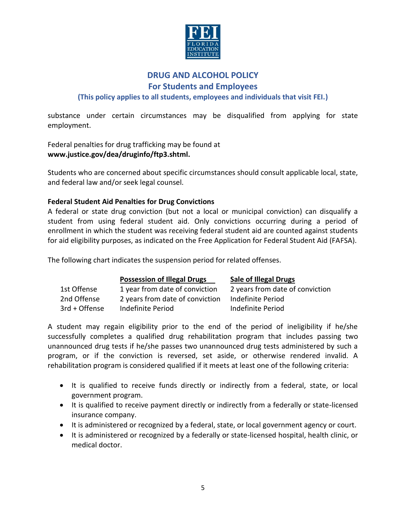

# **DRUG AND ALCOHOL POLICY**

**For Students and Employees**

**(This policy applies to all students, employees and individuals that visit FEI.)**

substance under certain circumstances may be disqualified from applying for state employment.

Federal penalties for drug trafficking may be found at **[www.justice.gov/dea/druginfo/ftp3.shtml.](http://www.justice.gov/dea/druginfo/ftp3.shtml)**

Students who are concerned about specific circumstances should consult applicable local, state, and federal law and/or seek legal counsel.

#### **Federal Student Aid Penalties for Drug Convictions**

A federal or state drug conviction (but not a local or municipal conviction) can disqualify a student from using federal student aid. Only convictions occurring during a period of enrollment in which the student was receiving federal student aid are counted against students for aid eligibility purposes, as indicated on the Free Application for Federal Student Aid (FAFSA).

The following chart indicates the suspension period for related offenses.

|               | <b>Possession of Illegal Drugs</b> | <b>Sale of Illegal Drugs</b>    |
|---------------|------------------------------------|---------------------------------|
| 1st Offense   | 1 year from date of conviction     | 2 years from date of conviction |
| 2nd Offense   | 2 years from date of conviction    | Indefinite Period               |
| 3rd + Offense | Indefinite Period                  | Indefinite Period               |

A student may regain eligibility prior to the end of the period of ineligibility if he/she successfully completes a qualified drug rehabilitation program that includes passing two unannounced drug tests if he/she passes two unannounced drug tests administered by such a program, or if the conviction is reversed, set aside, or otherwise rendered invalid. A rehabilitation program is considered qualified if it meets at least one of the following criteria:

- It is qualified to receive funds directly or indirectly from a federal, state, or local government program.
- It is qualified to receive payment directly or indirectly from a federally or state-licensed insurance company.
- It is administered or recognized by a federal, state, or local government agency or court.
- It is administered or recognized by a federally or state-licensed hospital, health clinic, or medical doctor.